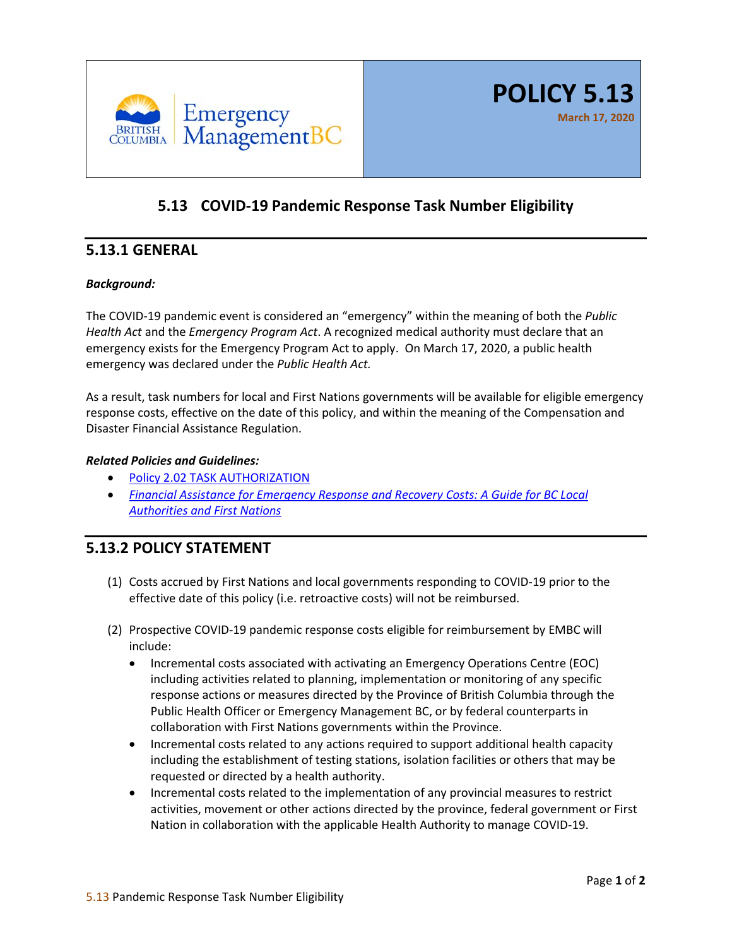

# **5.13 COVID-19 Pandemic Response Task Number Eligibility**

## **5.13.1 GENERAL**

#### *Background:*

The COVID-19 pandemic event is considered an "emergency" within the meaning of both the *Public Health Act* and the *Emergency Program Act*. A recognized medical authority must declare that an emergency exists for the Emergency Program Act to apply. On March 17, 2020, a public health emergency was declared under the *Public Health Act.*

As a result, task numbers for local and First Nations governments will be available for eligible emergency response costs, effective on the date of this policy, and within the meaning of the Compensation and Disaster Financial Assistance Regulation.

#### *Related Policies and Guidelines:*

- [Policy 2.02 TASK AUTHORIZATION](https://www2.gov.bc.ca/assets/gov/public-safety-and-emergency-services/emergency-preparedness-response-recovery/embc/policies/202_task_authorization_policy_aug_2016.pdf)
- *[Financial Assistance for Emergency Response and Recovery Costs: A Guide for BC Local](https://www2.gov.bc.ca/assets/gov/public-safety-and-emergency-services/emergency-preparedness-response-recovery/local-government/financial_assistance_guide.pdf)  [Authorities and First Nations](https://www2.gov.bc.ca/assets/gov/public-safety-and-emergency-services/emergency-preparedness-response-recovery/local-government/financial_assistance_guide.pdf)*

### **5.13.2 POLICY STATEMENT**

- (1) Costs accrued by First Nations and local governments responding to COVID-19 prior to the effective date of this policy (i.e. retroactive costs) will not be reimbursed.
- (2) Prospective COVID-19 pandemic response costs eligible for reimbursement by EMBC will include:
	- Incremental costs associated with activating an Emergency Operations Centre (EOC) including activities related to planning, implementation or monitoring of any specific response actions or measures directed by the Province of British Columbia through the Public Health Officer or Emergency Management BC, or by federal counterparts in collaboration with First Nations governments within the Province.
	- Incremental costs related to any actions required to support additional health capacity including the establishment of testing stations, isolation facilities or others that may be requested or directed by a health authority.
	- Incremental costs related to the implementation of any provincial measures to restrict activities, movement or other actions directed by the province, federal government or First Nation in collaboration with the applicable Health Authority to manage COVID-19.